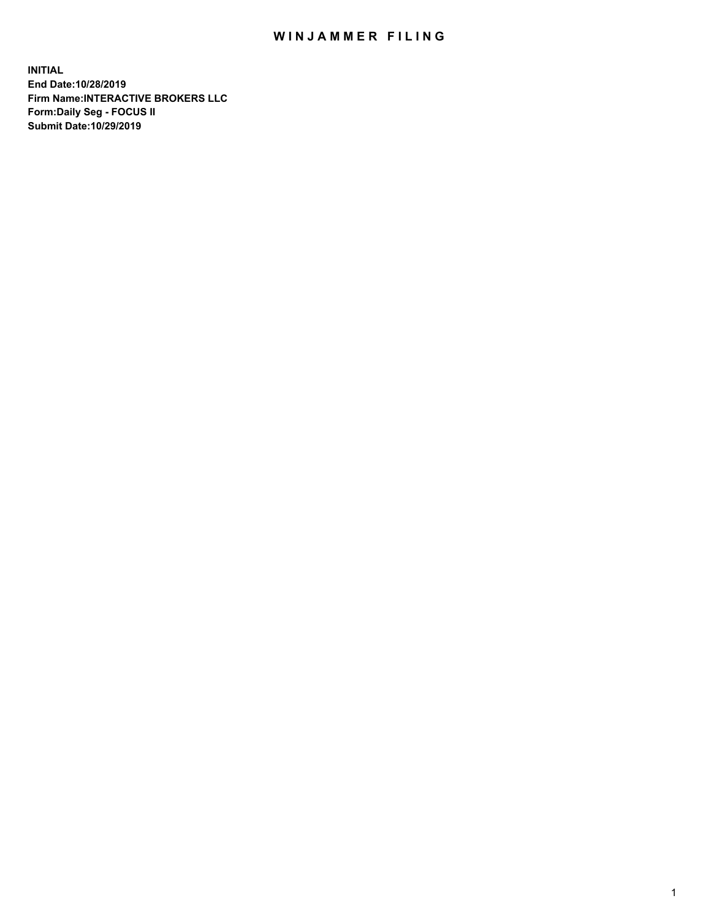## WIN JAMMER FILING

**INITIAL End Date:10/28/2019 Firm Name:INTERACTIVE BROKERS LLC Form:Daily Seg - FOCUS II Submit Date:10/29/2019**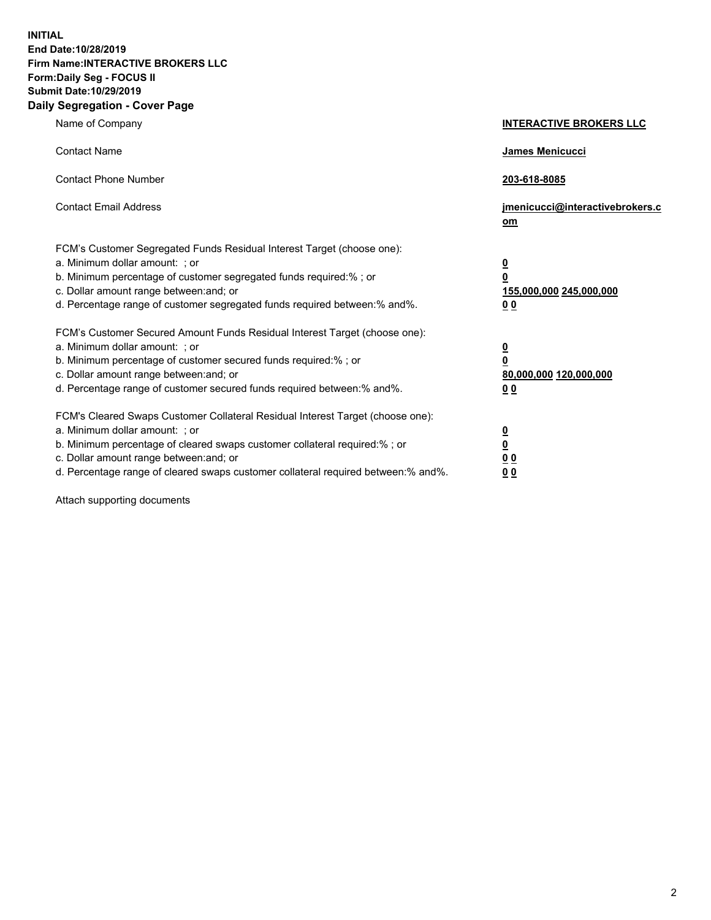**INITIAL End Date:10/28/2019 Firm Name:INTERACTIVE BROKERS LLC Form:Daily Seg - FOCUS II Submit Date:10/29/2019 Daily Segregation - Cover Page**

| Name of Company                                                                                                                                                                                                                                                                                                                | <b>INTERACTIVE BROKERS LLC</b>                                                                  |
|--------------------------------------------------------------------------------------------------------------------------------------------------------------------------------------------------------------------------------------------------------------------------------------------------------------------------------|-------------------------------------------------------------------------------------------------|
| <b>Contact Name</b>                                                                                                                                                                                                                                                                                                            | James Menicucci                                                                                 |
| <b>Contact Phone Number</b>                                                                                                                                                                                                                                                                                                    | 203-618-8085                                                                                    |
| <b>Contact Email Address</b>                                                                                                                                                                                                                                                                                                   | jmenicucci@interactivebrokers.c<br>om                                                           |
| FCM's Customer Segregated Funds Residual Interest Target (choose one):<br>a. Minimum dollar amount: ; or<br>b. Minimum percentage of customer segregated funds required:%; or<br>c. Dollar amount range between: and; or<br>d. Percentage range of customer segregated funds required between:% and%.                          | $\overline{\mathbf{0}}$<br>$\overline{\mathbf{0}}$<br>155,000,000 245,000,000<br>0 <sub>0</sub> |
| FCM's Customer Secured Amount Funds Residual Interest Target (choose one):<br>a. Minimum dollar amount: ; or<br>b. Minimum percentage of customer secured funds required:% ; or<br>c. Dollar amount range between: and; or<br>d. Percentage range of customer secured funds required between:% and%.                           | $\overline{\mathbf{0}}$<br>$\overline{\mathbf{0}}$<br>80,000,000 120,000,000<br>0 <sub>0</sub>  |
| FCM's Cleared Swaps Customer Collateral Residual Interest Target (choose one):<br>a. Minimum dollar amount: ; or<br>b. Minimum percentage of cleared swaps customer collateral required:% ; or<br>c. Dollar amount range between: and; or<br>d. Percentage range of cleared swaps customer collateral required between:% and%. | $\overline{\mathbf{0}}$<br>$\underline{\mathbf{0}}$<br>0 <sub>0</sub><br>0 <sub>0</sub>         |

Attach supporting documents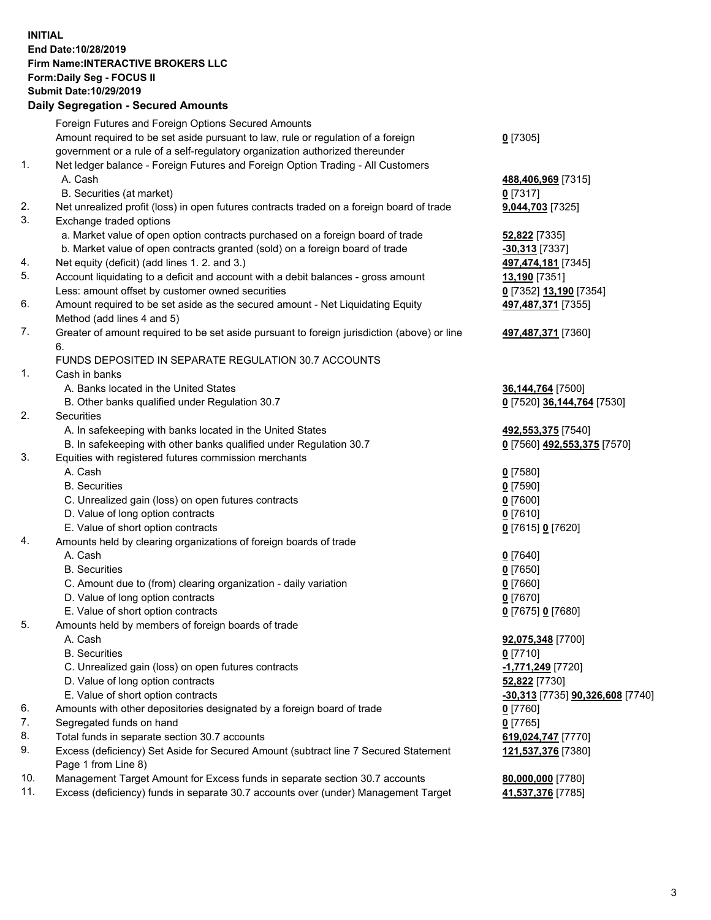## **INITIAL End Date:10/28/2019 Firm Name:INTERACTIVE BROKERS LLC Form:Daily Seg - FOCUS II Submit Date:10/29/2019 Daily Segregation - Secured Amounts**

|     | Dally Segregation - Secured Amounts                                                         |                                  |
|-----|---------------------------------------------------------------------------------------------|----------------------------------|
|     | Foreign Futures and Foreign Options Secured Amounts                                         |                                  |
|     | Amount required to be set aside pursuant to law, rule or regulation of a foreign            | $0$ [7305]                       |
|     | government or a rule of a self-regulatory organization authorized thereunder                |                                  |
| 1.  | Net ledger balance - Foreign Futures and Foreign Option Trading - All Customers             |                                  |
|     | A. Cash                                                                                     | 488,406,969 [7315]               |
|     | B. Securities (at market)                                                                   | $0$ [7317]                       |
| 2.  | Net unrealized profit (loss) in open futures contracts traded on a foreign board of trade   | 9,044,703 [7325]                 |
| 3.  | Exchange traded options                                                                     |                                  |
|     | a. Market value of open option contracts purchased on a foreign board of trade              | <b>52,822</b> [7335]             |
|     | b. Market value of open contracts granted (sold) on a foreign board of trade                | -30,313 [7337]                   |
| 4.  | Net equity (deficit) (add lines 1.2. and 3.)                                                | 497,474,181 [7345]               |
| 5.  | Account liquidating to a deficit and account with a debit balances - gross amount           | 13,190 [7351]                    |
|     | Less: amount offset by customer owned securities                                            | 0 [7352] 13,190 [7354]           |
| 6.  | Amount required to be set aside as the secured amount - Net Liquidating Equity              | 497,487,371 [7355]               |
|     | Method (add lines 4 and 5)                                                                  |                                  |
| 7.  | Greater of amount required to be set aside pursuant to foreign jurisdiction (above) or line | 497,487,371 [7360]               |
|     | 6.                                                                                          |                                  |
|     | FUNDS DEPOSITED IN SEPARATE REGULATION 30.7 ACCOUNTS                                        |                                  |
| 1.  | Cash in banks                                                                               |                                  |
|     | A. Banks located in the United States                                                       | 36, 144, 764 [7500]              |
|     | B. Other banks qualified under Regulation 30.7                                              | 0 [7520] 36,144,764 [7530]       |
| 2.  | Securities                                                                                  |                                  |
|     | A. In safekeeping with banks located in the United States                                   | 492,553,375 [7540]               |
|     | B. In safekeeping with other banks qualified under Regulation 30.7                          | 0 [7560] 492,553,375 [7570]      |
| 3.  | Equities with registered futures commission merchants                                       |                                  |
|     | A. Cash                                                                                     | $0$ [7580]                       |
|     | <b>B.</b> Securities                                                                        | $0$ [7590]                       |
|     | C. Unrealized gain (loss) on open futures contracts                                         | $0$ [7600]                       |
|     | D. Value of long option contracts                                                           | $0$ [7610]                       |
|     | E. Value of short option contracts                                                          | 0 [7615] 0 [7620]                |
| 4.  | Amounts held by clearing organizations of foreign boards of trade                           |                                  |
|     | A. Cash                                                                                     |                                  |
|     | <b>B.</b> Securities                                                                        | $0$ [7640]                       |
|     |                                                                                             | $0$ [7650]                       |
|     | C. Amount due to (from) clearing organization - daily variation                             | $0$ [7660]                       |
|     | D. Value of long option contracts                                                           | $0$ [7670]                       |
|     | E. Value of short option contracts                                                          | 0 [7675] 0 [7680]                |
| 5.  | Amounts held by members of foreign boards of trade                                          |                                  |
|     | A. Cash                                                                                     | 92,075,348 [7700]                |
|     | <b>B.</b> Securities                                                                        | $0$ [7710]                       |
|     | C. Unrealized gain (loss) on open futures contracts                                         | -1,771,249 [7720]                |
|     | D. Value of long option contracts                                                           | 52,822 [7730]                    |
|     | E. Value of short option contracts                                                          | -30,313 [7735] 90,326,608 [7740] |
| 6.  | Amounts with other depositories designated by a foreign board of trade                      | 0 [7760]                         |
| 7.  | Segregated funds on hand                                                                    | $0$ [7765]                       |
| 8.  | Total funds in separate section 30.7 accounts                                               | 619,024,747 [7770]               |
| 9.  | Excess (deficiency) Set Aside for Secured Amount (subtract line 7 Secured Statement         | 121,537,376 [7380]               |
|     | Page 1 from Line 8)                                                                         |                                  |
| 10. | Management Target Amount for Excess funds in separate section 30.7 accounts                 | 80,000,000 [7780]                |
| 11. | Excess (deficiency) funds in separate 30.7 accounts over (under) Management Target          | 41,537,376 [7785]                |
|     |                                                                                             |                                  |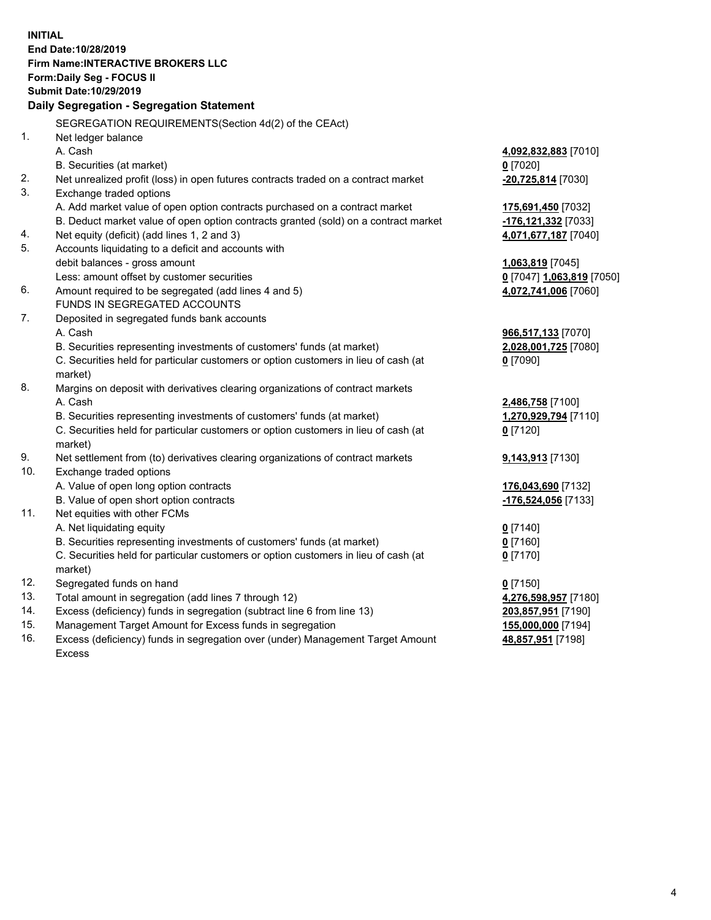**INITIAL End Date:10/28/2019 Firm Name:INTERACTIVE BROKERS LLC Form:Daily Seg - FOCUS II Submit Date:10/29/2019 Daily Segregation - Segregation Statement** SEGREGATION REQUIREMENTS(Section 4d(2) of the CEAct) 1. Net ledger balance A. Cash **4,092,832,883** [7010] B. Securities (at market) **0** [7020] 2. Net unrealized profit (loss) in open futures contracts traded on a contract market **-20,725,814** [7030] 3. Exchange traded options A. Add market value of open option contracts purchased on a contract market **175,691,450** [7032] B. Deduct market value of open option contracts granted (sold) on a contract market **-176,121,332** [7033] 4. Net equity (deficit) (add lines 1, 2 and 3) **4,071,677,187** [7040] 5. Accounts liquidating to a deficit and accounts with debit balances - gross amount **1,063,819** [7045] Less: amount offset by customer securities **0** [7047] **1,063,819** [7050] 6. Amount required to be segregated (add lines 4 and 5) **4,072,741,006** [7060] FUNDS IN SEGREGATED ACCOUNTS 7. Deposited in segregated funds bank accounts A. Cash **966,517,133** [7070] B. Securities representing investments of customers' funds (at market) **2,028,001,725** [7080] C. Securities held for particular customers or option customers in lieu of cash (at market) **0** [7090] 8. Margins on deposit with derivatives clearing organizations of contract markets A. Cash **2,486,758** [7100] B. Securities representing investments of customers' funds (at market) **1,270,929,794** [7110] C. Securities held for particular customers or option customers in lieu of cash (at market) **0** [7120] 9. Net settlement from (to) derivatives clearing organizations of contract markets **9,143,913** [7130] 10. Exchange traded options A. Value of open long option contracts **176,043,690** [7132] B. Value of open short option contracts **-176,524,056** [7133] 11. Net equities with other FCMs A. Net liquidating equity **0** [7140] B. Securities representing investments of customers' funds (at market) **0** [7160] C. Securities held for particular customers or option customers in lieu of cash (at market) **0** [7170] 12. Segregated funds on hand **0** [7150] 13. Total amount in segregation (add lines 7 through 12) **4,276,598,957** [7180] 14. Excess (deficiency) funds in segregation (subtract line 6 from line 13) **203,857,951** [7190] 15. Management Target Amount for Excess funds in segregation **155,000,000** [7194] **48,857,951** [7198]

16. Excess (deficiency) funds in segregation over (under) Management Target Amount Excess